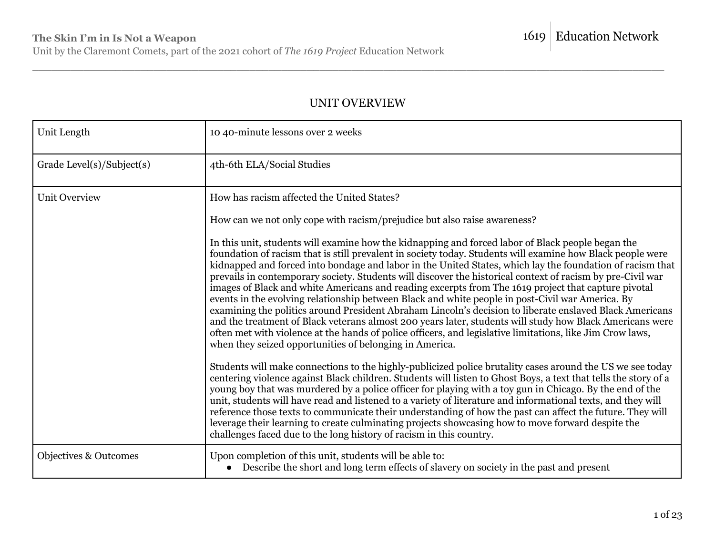# UNIT OVERVIEW

| Unit Length               | 10 40-minute lessons over 2 weeks                                                                                                                                                                                                                                                                                                                                                                                                                                                                                                                                                                                                                                                                                                                                                                                                                                                                                                                                                                                                                                                                                                                                                                                                                                                                                                                                                                                                                                                                                                                                                                                                          |  |  |
|---------------------------|--------------------------------------------------------------------------------------------------------------------------------------------------------------------------------------------------------------------------------------------------------------------------------------------------------------------------------------------------------------------------------------------------------------------------------------------------------------------------------------------------------------------------------------------------------------------------------------------------------------------------------------------------------------------------------------------------------------------------------------------------------------------------------------------------------------------------------------------------------------------------------------------------------------------------------------------------------------------------------------------------------------------------------------------------------------------------------------------------------------------------------------------------------------------------------------------------------------------------------------------------------------------------------------------------------------------------------------------------------------------------------------------------------------------------------------------------------------------------------------------------------------------------------------------------------------------------------------------------------------------------------------------|--|--|
| Grade Level(s)/Subject(s) | 4th-6th ELA/Social Studies                                                                                                                                                                                                                                                                                                                                                                                                                                                                                                                                                                                                                                                                                                                                                                                                                                                                                                                                                                                                                                                                                                                                                                                                                                                                                                                                                                                                                                                                                                                                                                                                                 |  |  |
| Unit Overview             | How has racism affected the United States?<br>How can we not only cope with racism/prejudice but also raise awareness?<br>In this unit, students will examine how the kidnapping and forced labor of Black people began the<br>foundation of racism that is still prevalent in society today. Students will examine how Black people were<br>kidnapped and forced into bondage and labor in the United States, which lay the foundation of racism that<br>prevails in contemporary society. Students will discover the historical context of racism by pre-Civil war<br>images of Black and white Americans and reading excerpts from The 1619 project that capture pivotal<br>events in the evolving relationship between Black and white people in post-Civil war America. By<br>examining the politics around President Abraham Lincoln's decision to liberate enslaved Black Americans<br>and the treatment of Black veterans almost 200 years later, students will study how Black Americans were<br>often met with violence at the hands of police officers, and legislative limitations, like Jim Crow laws,<br>when they seized opportunities of belonging in America.<br>Students will make connections to the highly-publicized police brutality cases around the US we see today<br>centering violence against Black children. Students will listen to Ghost Boys, a text that tells the story of a<br>young boy that was murdered by a police officer for playing with a toy gun in Chicago. By the end of the<br>unit, students will have read and listened to a variety of literature and informational texts, and they will |  |  |
|                           | reference those texts to communicate their understanding of how the past can affect the future. They will<br>leverage their learning to create culminating projects showcasing how to move forward despite the<br>challenges faced due to the long history of racism in this country.                                                                                                                                                                                                                                                                                                                                                                                                                                                                                                                                                                                                                                                                                                                                                                                                                                                                                                                                                                                                                                                                                                                                                                                                                                                                                                                                                      |  |  |
| Objectives & Outcomes     | Upon completion of this unit, students will be able to:<br>Describe the short and long term effects of slavery on society in the past and present                                                                                                                                                                                                                                                                                                                                                                                                                                                                                                                                                                                                                                                                                                                                                                                                                                                                                                                                                                                                                                                                                                                                                                                                                                                                                                                                                                                                                                                                                          |  |  |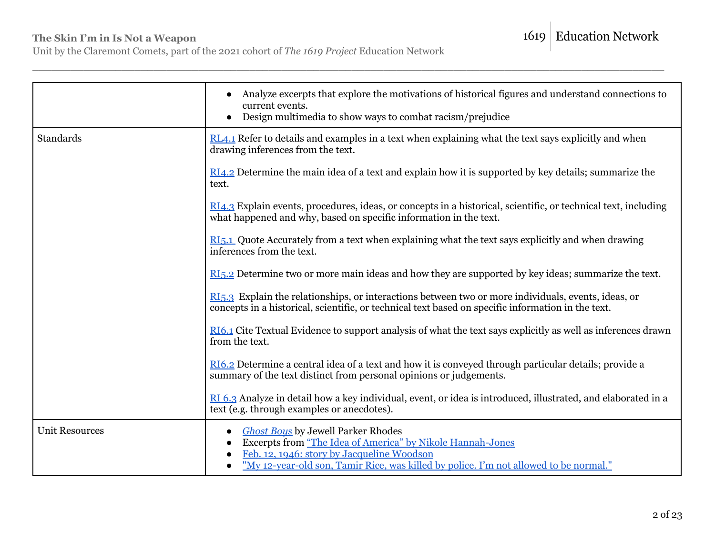1619 Education Network

Unit by the Claremont Comets, part of the 2021 cohort of *The 1619 Project* Education Network

|                       | Analyze excerpts that explore the motivations of historical figures and understand connections to<br>current events.<br>Design multimedia to show ways to combat racism/prejudice                                                              |  |  |  |
|-----------------------|------------------------------------------------------------------------------------------------------------------------------------------------------------------------------------------------------------------------------------------------|--|--|--|
| Standards             | RL4.1 Refer to details and examples in a text when explaining what the text says explicitly and when<br>drawing inferences from the text.                                                                                                      |  |  |  |
|                       | RI4.2 Determine the main idea of a text and explain how it is supported by key details; summarize the<br>text.                                                                                                                                 |  |  |  |
|                       | RI4.3 Explain events, procedures, ideas, or concepts in a historical, scientific, or technical text, including<br>what happened and why, based on specific information in the text.                                                            |  |  |  |
|                       | RI5.1 Quote Accurately from a text when explaining what the text says explicitly and when drawing<br>inferences from the text.                                                                                                                 |  |  |  |
|                       | RI5.2 Determine two or more main ideas and how they are supported by key ideas; summarize the text.                                                                                                                                            |  |  |  |
|                       | $RI_{5,3}$ Explain the relationships, or interactions between two or more individuals, events, ideas, or<br>concepts in a historical, scientific, or technical text based on specific information in the text.                                 |  |  |  |
|                       | RI6.1 Cite Textual Evidence to support analysis of what the text says explicitly as well as inferences drawn<br>from the text.                                                                                                                 |  |  |  |
|                       | RI6.2 Determine a central idea of a text and how it is conveyed through particular details; provide a<br>summary of the text distinct from personal opinions or judgements.                                                                    |  |  |  |
|                       | RI 6.3 Analyze in detail how a key individual, event, or idea is introduced, illustrated, and elaborated in a<br>text (e.g. through examples or anecdotes).                                                                                    |  |  |  |
| <b>Unit Resources</b> | <b>Ghost Boys</b> by Jewell Parker Rhodes<br>Excerpts from "The Idea of America" by Nikole Hannah-Jones<br>Feb. 12, 1946: story by Jacqueline Woodson<br>"My 12-year-old son, Tamir Rice, was killed by police. I'm not allowed to be normal." |  |  |  |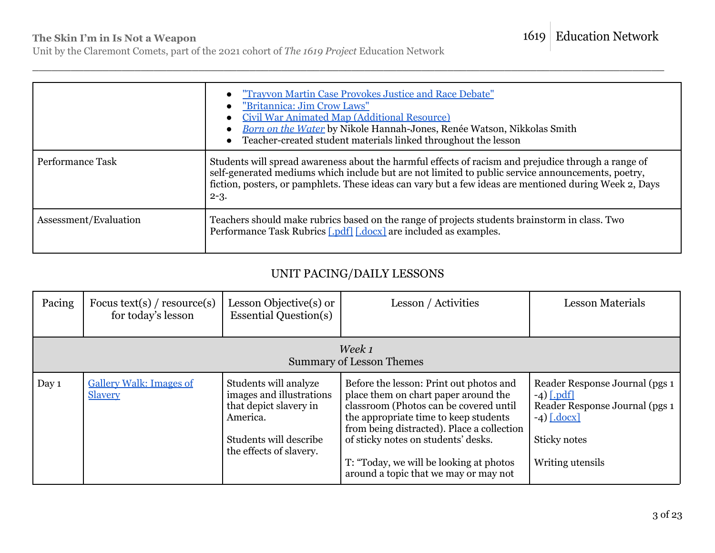Unit by the Claremont Comets, part of the 2021 cohort of *The 1619 Project* Education Network

|                       | "Trayvon Martin Case Provokes Justice and Race Debate"<br>"Britannica: Jim Crow Laws"<br><b>Civil War Animated Map (Additional Resource)</b><br>Born on the Water by Nikole Hannah-Jones, Renée Watson, Nikkolas Smith<br>• Teacher-created student materials linked throughout the lesson                                      |
|-----------------------|---------------------------------------------------------------------------------------------------------------------------------------------------------------------------------------------------------------------------------------------------------------------------------------------------------------------------------|
| Performance Task      | Students will spread awareness about the harmful effects of racism and prejudice through a range of<br>self-generated mediums which include but are not limited to public service announcements, poetry,<br>fiction, posters, or pamphlets. These ideas can vary but a few ideas are mentioned during Week 2, Days<br>$2 - 3$ . |
| Assessment/Evaluation | Teachers should make rubrics based on the range of projects students brainstorm in class. Two<br>Performance Task Rubrics [.pdf] [.docx] are included as examples.                                                                                                                                                              |

\_\_\_\_\_\_\_\_\_\_\_\_\_\_\_\_\_\_\_\_\_\_\_\_\_\_\_\_\_\_\_\_\_\_\_\_\_\_\_\_\_\_\_\_\_\_\_\_\_\_\_\_\_\_\_\_\_\_\_\_\_\_\_\_\_\_\_\_\_\_\_\_\_\_\_\_\_\_\_\_\_\_\_\_\_\_\_\_\_\_\_\_\_\_\_\_\_\_\_

# UNIT PACING/DAILY LESSONS

| Pacing | Focus text(s) / resource(s)<br>for today's lesson | Lesson Objective(s) or<br><b>Essential Question(s)</b>                                                                                       | Lesson / Activities                                                                                                                                                                                                                                                                                                                         | <b>Lesson Materials</b>                                                                                                                   |  |
|--------|---------------------------------------------------|----------------------------------------------------------------------------------------------------------------------------------------------|---------------------------------------------------------------------------------------------------------------------------------------------------------------------------------------------------------------------------------------------------------------------------------------------------------------------------------------------|-------------------------------------------------------------------------------------------------------------------------------------------|--|
|        | Week 1<br><b>Summary of Lesson Themes</b>         |                                                                                                                                              |                                                                                                                                                                                                                                                                                                                                             |                                                                                                                                           |  |
| Day 1  | <b>Gallery Walk: Images of</b><br><b>Slavery</b>  | Students will analyze<br>images and illustrations<br>that depict slavery in<br>America.<br>Students will describe<br>the effects of slavery. | Before the lesson: Print out photos and<br>place them on chart paper around the<br>classroom (Photos can be covered until<br>the appropriate time to keep students<br>from being distracted). Place a collection<br>of sticky notes on students' desks.<br>T: "Today, we will be looking at photos<br>around a topic that we may or may not | Reader Response Journal (pgs 1)<br>$-4$ ) [.pdf]<br>Reader Response Journal (pgs 1)<br>$-4$ ) [.docx]<br>Sticky notes<br>Writing utensils |  |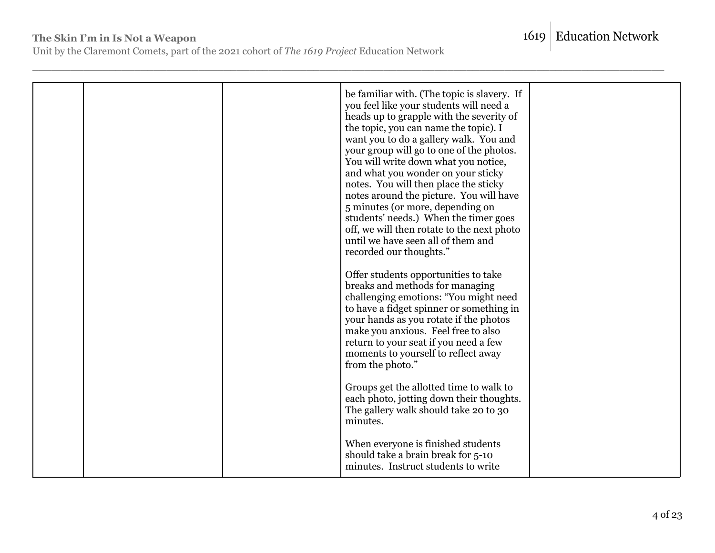Unit by the Claremont Comets, part of the 2021 cohort of *The 1619 Project* Education Network

|  | be familiar with. (The topic is slavery. If<br>you feel like your students will need a<br>heads up to grapple with the severity of<br>the topic, you can name the topic). I<br>want you to do a gallery walk. You and<br>your group will go to one of the photos.<br>You will write down what you notice,<br>and what you wonder on your sticky<br>notes. You will then place the sticky<br>notes around the picture. You will have<br>5 minutes (or more, depending on<br>students' needs.) When the timer goes<br>off, we will then rotate to the next photo<br>until we have seen all of them and<br>recorded our thoughts." |  |
|--|---------------------------------------------------------------------------------------------------------------------------------------------------------------------------------------------------------------------------------------------------------------------------------------------------------------------------------------------------------------------------------------------------------------------------------------------------------------------------------------------------------------------------------------------------------------------------------------------------------------------------------|--|
|  | Offer students opportunities to take<br>breaks and methods for managing<br>challenging emotions: "You might need<br>to have a fidget spinner or something in<br>your hands as you rotate if the photos<br>make you anxious. Feel free to also<br>return to your seat if you need a few<br>moments to yourself to reflect away<br>from the photo."                                                                                                                                                                                                                                                                               |  |
|  | Groups get the allotted time to walk to<br>each photo, jotting down their thoughts.<br>The gallery walk should take 20 to 30<br>minutes.                                                                                                                                                                                                                                                                                                                                                                                                                                                                                        |  |
|  | When everyone is finished students<br>should take a brain break for 5-10<br>minutes. Instruct students to write                                                                                                                                                                                                                                                                                                                                                                                                                                                                                                                 |  |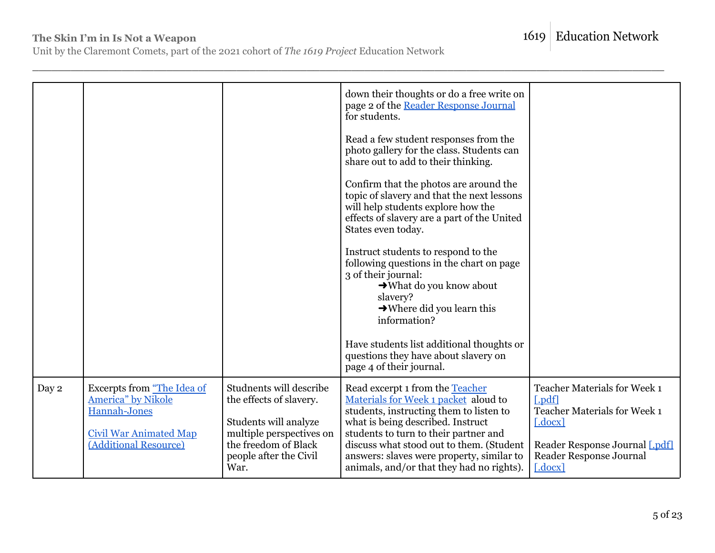1619 Education Network

Unit by the Claremont Comets, part of the 2021 cohort of *The 1619 Project* Education Network

|       |                                                                                                                                    |                                                                                                                                                                   | down their thoughts or do a free write on<br>page 2 of the Reader Response Journal<br>for students.                                                                                                                                                                                                                                    |                                                                                                                                                                                       |
|-------|------------------------------------------------------------------------------------------------------------------------------------|-------------------------------------------------------------------------------------------------------------------------------------------------------------------|----------------------------------------------------------------------------------------------------------------------------------------------------------------------------------------------------------------------------------------------------------------------------------------------------------------------------------------|---------------------------------------------------------------------------------------------------------------------------------------------------------------------------------------|
|       |                                                                                                                                    |                                                                                                                                                                   | Read a few student responses from the<br>photo gallery for the class. Students can<br>share out to add to their thinking.                                                                                                                                                                                                              |                                                                                                                                                                                       |
|       |                                                                                                                                    |                                                                                                                                                                   | Confirm that the photos are around the<br>topic of slavery and that the next lessons<br>will help students explore how the<br>effects of slavery are a part of the United<br>States even today.                                                                                                                                        |                                                                                                                                                                                       |
|       |                                                                                                                                    |                                                                                                                                                                   | Instruct students to respond to the<br>following questions in the chart on page<br>3 of their journal:<br>$\blacktriangleright$ What do you know about<br>slavery?<br>$\rightarrow$ Where did you learn this<br>information?                                                                                                           |                                                                                                                                                                                       |
|       |                                                                                                                                    |                                                                                                                                                                   | Have students list additional thoughts or<br>questions they have about slavery on<br>page 4 of their journal.                                                                                                                                                                                                                          |                                                                                                                                                                                       |
| Day 2 | Excerpts from "The Idea of<br><b>America</b> " by Nikole<br>Hannah-Jones<br><b>Civil War Animated Map</b><br>(Additional Resource) | Studnents will describe<br>the effects of slavery.<br>Students will analyze<br>multiple perspectives on<br>the freedom of Black<br>people after the Civil<br>War. | Read excerpt 1 from the Teacher<br>Materials for Week 1 packet aloud to<br>students, instructing them to listen to<br>what is being described. Instruct<br>students to turn to their partner and<br>discuss what stood out to them. (Student<br>answers: slaves were property, similar to<br>animals, and/or that they had no rights). | <b>Teacher Materials for Week 1</b><br>$[}.pdf]$<br><b>Teacher Materials for Week 1</b><br>$[.\mathrm{docx}]$<br>Reader Response Journal [.pdf]<br>Reader Response Journal<br>[.docx] |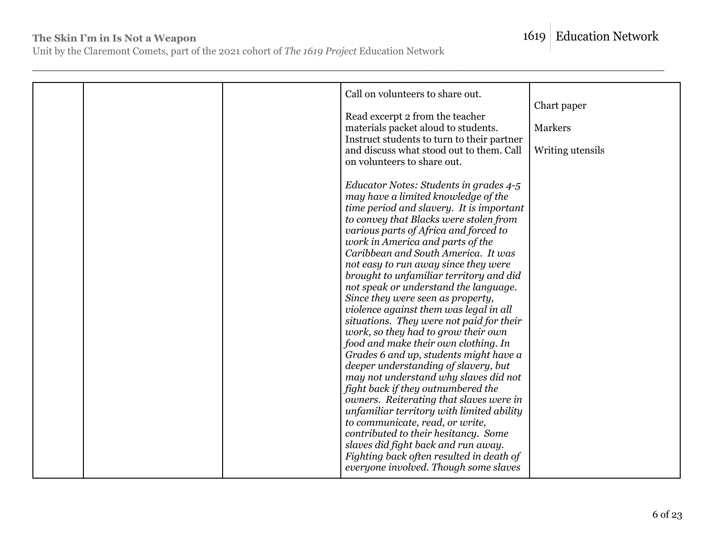Unit by the Claremont Comets, part of the 2021 cohort of *The 1619 Project* Education Network

| Call on volunteers to share out.<br>Read excerpt 2 from the teacher<br>materials packet aloud to students.<br>Instruct students to turn to their partner<br>and discuss what stood out to them. Call<br>on volunteers to share out.<br>Educator Notes: Students in grades 4-5<br>may have a limited knowledge of the<br>time period and slavery. It is important<br>to convey that Blacks were stolen from<br>various parts of Africa and forced to<br>work in America and parts of the<br>Caribbean and South America. It was<br>not easy to run away since they were<br>brought to unfamiliar territory and did<br>not speak or understand the language.<br>Since they were seen as property,<br>violence against them was legal in all<br>situations. They were not paid for their<br>work, so they had to grow their own<br>food and make their own clothing. In<br>Grades 6 and up, students might have a<br>deeper understanding of slavery, but<br>may not understand why slaves did not<br>fight back if they outnumbered the<br>owners. Reiterating that slaves were in<br>unfamiliar territory with limited ability<br>to communicate, read, or write,<br>contributed to their hesitancy. Some<br>slaves did fight back and run away. | Chart paper<br><b>Markers</b><br>Writing utensils |
|-------------------------------------------------------------------------------------------------------------------------------------------------------------------------------------------------------------------------------------------------------------------------------------------------------------------------------------------------------------------------------------------------------------------------------------------------------------------------------------------------------------------------------------------------------------------------------------------------------------------------------------------------------------------------------------------------------------------------------------------------------------------------------------------------------------------------------------------------------------------------------------------------------------------------------------------------------------------------------------------------------------------------------------------------------------------------------------------------------------------------------------------------------------------------------------------------------------------------------------------------|---------------------------------------------------|
| Fighting back often resulted in death of<br>everyone involved. Though some slaves                                                                                                                                                                                                                                                                                                                                                                                                                                                                                                                                                                                                                                                                                                                                                                                                                                                                                                                                                                                                                                                                                                                                                               |                                                   |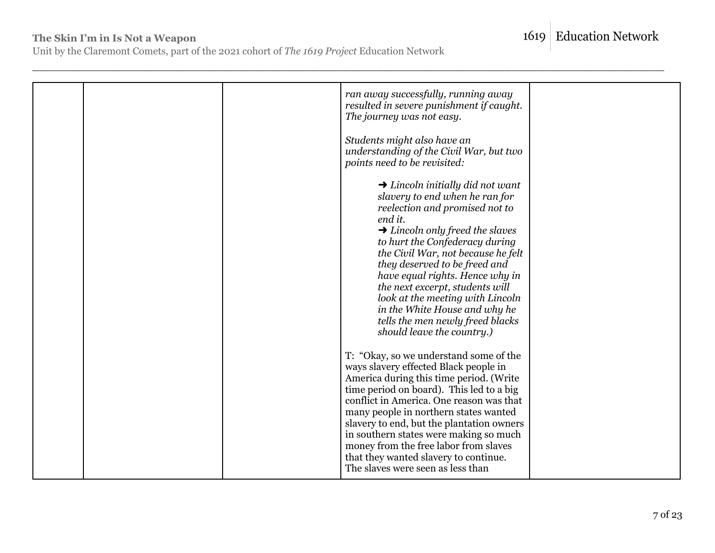Unit by the Claremont Comets, part of the 2021 cohort of *The 1619 Project* Education Network

|  | ran away successfully, running away<br>resulted in severe punishment if caught.                                                                                                                                                                                                                                                                                                                                                                                                                  |  |
|--|--------------------------------------------------------------------------------------------------------------------------------------------------------------------------------------------------------------------------------------------------------------------------------------------------------------------------------------------------------------------------------------------------------------------------------------------------------------------------------------------------|--|
|  | The journey was not easy.                                                                                                                                                                                                                                                                                                                                                                                                                                                                        |  |
|  | Students might also have an<br>understanding of the Civil War, but two<br>points need to be revisited:                                                                                                                                                                                                                                                                                                                                                                                           |  |
|  | $\rightarrow$ Lincoln initially did not want<br>slavery to end when he ran for<br>reelection and promised not to<br>end it.<br>$\rightarrow$ Lincoln only freed the slaves<br>to hurt the Confederacy during<br>the Civil War, not because he felt<br>they deserved to be freed and<br>have equal rights. Hence why in<br>the next excerpt, students will<br>look at the meeting with Lincoln<br>in the White House and why he<br>tells the men newly freed blacks<br>should leave the country.) |  |
|  | T: "Okay, so we understand some of the<br>ways slavery effected Black people in<br>America during this time period. (Write<br>time period on board). This led to a big<br>conflict in America. One reason was that<br>many people in northern states wanted<br>slavery to end, but the plantation owners<br>in southern states were making so much<br>money from the free labor from slaves<br>that they wanted slavery to continue.<br>The slaves were seen as less than                        |  |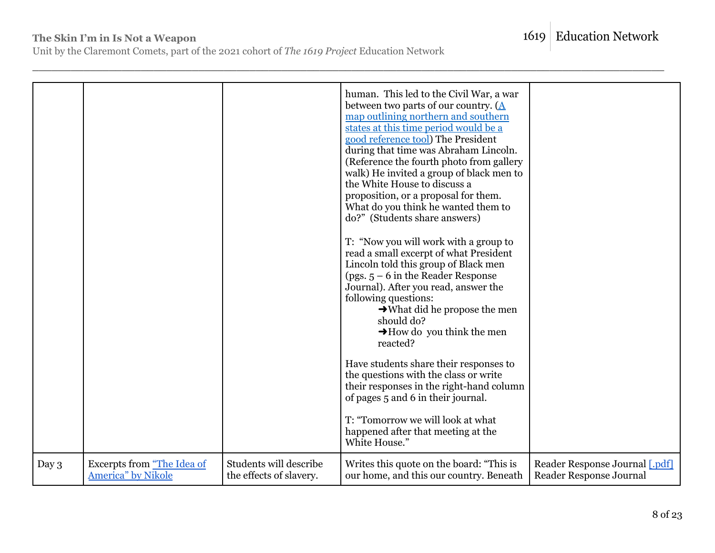Unit by the Claremont Comets, part of the 2021 cohort of *The 1619 Project* Education Network

|       |                                                          |                                                   | human. This led to the Civil War, a war<br>between two parts of our country. $(A)$<br>map outlining northern and southern<br>states at this time period would be a<br>good reference tool) The President<br>during that time was Abraham Lincoln.<br>(Reference the fourth photo from gallery<br>walk) He invited a group of black men to<br>the White House to discuss a<br>proposition, or a proposal for them.<br>What do you think he wanted them to<br>do?" (Students share answers)<br>T: "Now you will work with a group to<br>read a small excerpt of what President<br>Lincoln told this group of Black men<br>(pgs. $5 - 6$ in the Reader Response<br>Journal). After you read, answer the<br>following questions:<br>$\rightarrow$ What did he propose the men<br>should do?<br>$\rightarrow$ How do you think the men<br>reacted?<br>Have students share their responses to<br>the questions with the class or write<br>their responses in the right-hand column<br>of pages 5 and 6 in their journal.<br>T: "Tomorrow we will look at what<br>happened after that meeting at the<br>White House." |                                                           |
|-------|----------------------------------------------------------|---------------------------------------------------|----------------------------------------------------------------------------------------------------------------------------------------------------------------------------------------------------------------------------------------------------------------------------------------------------------------------------------------------------------------------------------------------------------------------------------------------------------------------------------------------------------------------------------------------------------------------------------------------------------------------------------------------------------------------------------------------------------------------------------------------------------------------------------------------------------------------------------------------------------------------------------------------------------------------------------------------------------------------------------------------------------------------------------------------------------------------------------------------------------------|-----------------------------------------------------------|
| Day 3 | Excerpts from "The Idea of<br><b>America</b> " by Nikole | Students will describe<br>the effects of slavery. | Writes this quote on the board: "This is<br>our home, and this our country. Beneath                                                                                                                                                                                                                                                                                                                                                                                                                                                                                                                                                                                                                                                                                                                                                                                                                                                                                                                                                                                                                            | Reader Response Journal [.pdf]<br>Reader Response Journal |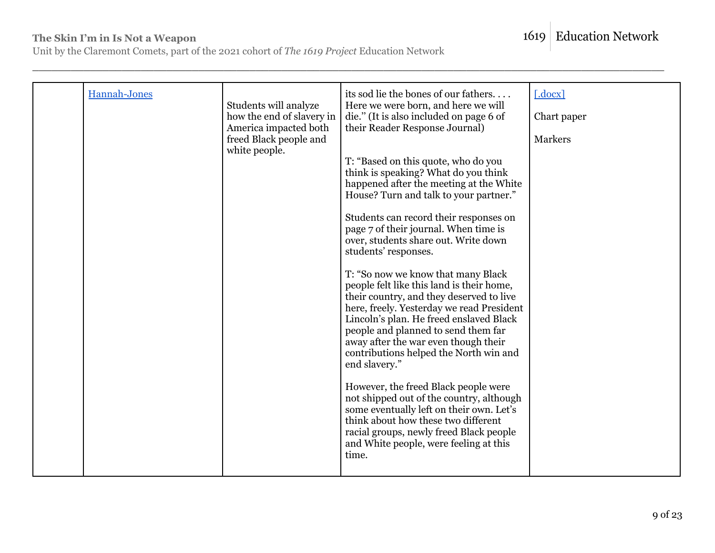Unit by the Claremont Comets, part of the 2021 cohort of *The 1619 Project* Education Network

| Hannah-Jones | Students will analyze<br>how the end of slavery in<br>America impacted both<br>freed Black people and<br>white people. | its sod lie the bones of our fathers<br>Here we were born, and here we will<br>die." (It is also included on page 6 of<br>their Reader Response Journal)<br>T: "Based on this quote, who do you<br>think is speaking? What do you think<br>happened after the meeting at the White<br>House? Turn and talk to your partner."<br>Students can record their responses on<br>page 7 of their journal. When time is<br>over, students share out. Write down<br>students' responses.<br>T: "So now we know that many Black<br>people felt like this land is their home,<br>their country, and they deserved to live<br>here, freely. Yesterday we read President<br>Lincoln's plan. He freed enslaved Black<br>people and planned to send them far<br>away after the war even though their<br>contributions helped the North win and<br>end slavery."<br>However, the freed Black people were<br>not shipped out of the country, although<br>some eventually left on their own. Let's<br>think about how these two different<br>racial groups, newly freed Black people<br>and White people, were feeling at this<br>time. | $[.\mathrm{docx}]$<br>Chart paper<br><b>Markers</b> |
|--------------|------------------------------------------------------------------------------------------------------------------------|-----------------------------------------------------------------------------------------------------------------------------------------------------------------------------------------------------------------------------------------------------------------------------------------------------------------------------------------------------------------------------------------------------------------------------------------------------------------------------------------------------------------------------------------------------------------------------------------------------------------------------------------------------------------------------------------------------------------------------------------------------------------------------------------------------------------------------------------------------------------------------------------------------------------------------------------------------------------------------------------------------------------------------------------------------------------------------------------------------------------------|-----------------------------------------------------|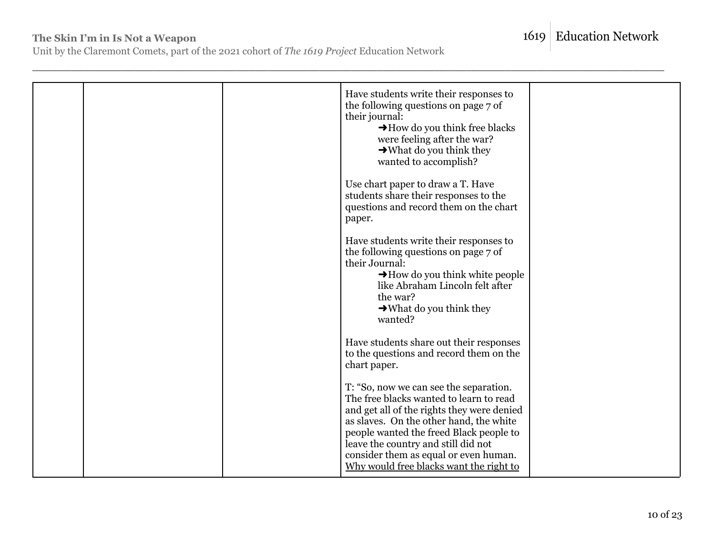Unit by the Claremont Comets, part of the 2021 cohort of *The 1619 Project* Education Network

|  | Have students write their responses to<br>the following questions on page 7 of<br>their journal:<br>$\rightarrow$ How do you think free blacks<br>were feeling after the war?<br>$\rightarrow$ What do you think they<br>wanted to accomplish?                                                                                                   |  |
|--|--------------------------------------------------------------------------------------------------------------------------------------------------------------------------------------------------------------------------------------------------------------------------------------------------------------------------------------------------|--|
|  | Use chart paper to draw a T. Have<br>students share their responses to the<br>questions and record them on the chart<br>paper.                                                                                                                                                                                                                   |  |
|  | Have students write their responses to<br>the following questions on page 7 of<br>their Journal:<br>$\rightarrow$ How do you think white people<br>like Abraham Lincoln felt after<br>the war?<br>$\rightarrow$ What do you think they<br>wanted?                                                                                                |  |
|  | Have students share out their responses<br>to the questions and record them on the<br>chart paper.                                                                                                                                                                                                                                               |  |
|  | T: "So, now we can see the separation.<br>The free blacks wanted to learn to read<br>and get all of the rights they were denied<br>as slaves. On the other hand, the white<br>people wanted the freed Black people to<br>leave the country and still did not<br>consider them as equal or even human.<br>Why would free blacks want the right to |  |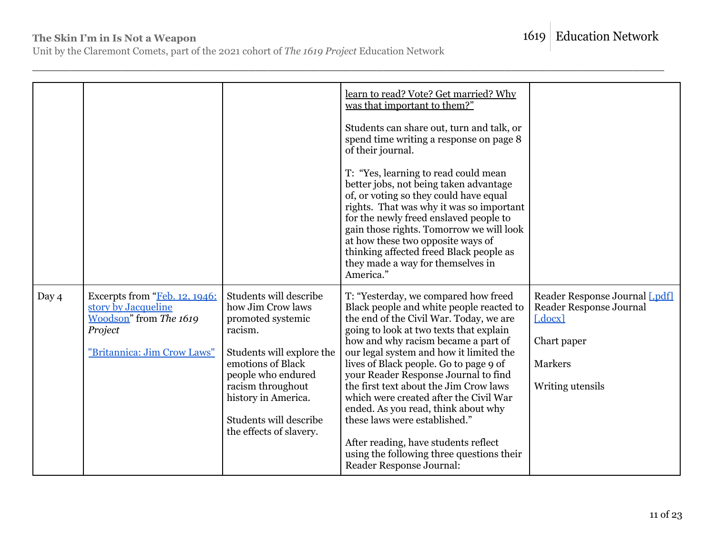1619 Education Network

Unit by the Claremont Comets, part of the 2021 cohort of *The 1619 Project* Education Network

|       |                                                                                                                          |                                                                                                                                                                                                                                                      | learn to read? Vote? Get married? Why<br>was that important to them?"<br>Students can share out, turn and talk, or<br>spend time writing a response on page 8<br>of their journal.<br>T: "Yes, learning to read could mean<br>better jobs, not being taken advantage<br>of, or voting so they could have equal<br>rights. That was why it was so important<br>for the newly freed enslaved people to<br>gain those rights. Tomorrow we will look<br>at how these two opposite ways of<br>thinking affected freed Black people as<br>they made a way for themselves in<br>America."                                      |                                                                                                                                  |
|-------|--------------------------------------------------------------------------------------------------------------------------|------------------------------------------------------------------------------------------------------------------------------------------------------------------------------------------------------------------------------------------------------|-------------------------------------------------------------------------------------------------------------------------------------------------------------------------------------------------------------------------------------------------------------------------------------------------------------------------------------------------------------------------------------------------------------------------------------------------------------------------------------------------------------------------------------------------------------------------------------------------------------------------|----------------------------------------------------------------------------------------------------------------------------------|
| Day 4 | Excerpts from "Feb. 12, 1946:<br>story by Jacqueline<br>Woodson" from The 1619<br>Project<br>"Britannica: Jim Crow Laws" | Students will describe<br>how Jim Crow laws<br>promoted systemic<br>racism.<br>Students will explore the<br>emotions of Black<br>people who endured<br>racism throughout<br>history in America.<br>Students will describe<br>the effects of slavery. | T: "Yesterday, we compared how freed<br>Black people and white people reacted to<br>the end of the Civil War. Today, we are<br>going to look at two texts that explain<br>how and why racism became a part of<br>our legal system and how it limited the<br>lives of Black people. Go to page 9 of<br>your Reader Response Journal to find<br>the first text about the Jim Crow laws<br>which were created after the Civil War<br>ended. As you read, think about why<br>these laws were established."<br>After reading, have students reflect<br>using the following three questions their<br>Reader Response Journal: | Reader Response Journal [.pdf]<br><b>Reader Response Journal</b><br>[.docx]<br>Chart paper<br><b>Markers</b><br>Writing utensils |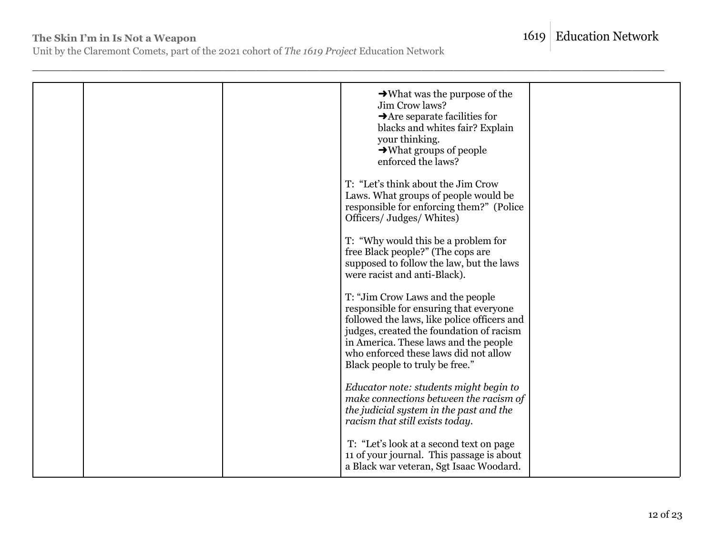Unit by the Claremont Comets, part of the 2021 cohort of *The 1619 Project* Education Network

|  | $\rightarrow$ What was the purpose of the<br>Jim Crow laws?<br>$\rightarrow$ Are separate facilities for<br>blacks and whites fair? Explain<br>your thinking.<br>$\rightarrow$ What groups of people<br>enforced the laws?                                                                 |  |
|--|--------------------------------------------------------------------------------------------------------------------------------------------------------------------------------------------------------------------------------------------------------------------------------------------|--|
|  | T: "Let's think about the Jim Crow<br>Laws. What groups of people would be<br>responsible for enforcing them?" (Police<br>Officers/ Judges/ Whites)                                                                                                                                        |  |
|  | T: "Why would this be a problem for<br>free Black people?" (The cops are<br>supposed to follow the law, but the laws<br>were racist and anti-Black).                                                                                                                                       |  |
|  | T: "Jim Crow Laws and the people<br>responsible for ensuring that everyone<br>followed the laws, like police officers and<br>judges, created the foundation of racism<br>in America. These laws and the people<br>who enforced these laws did not allow<br>Black people to truly be free." |  |
|  | Educator note: students might begin to<br>make connections between the racism of<br>the judicial system in the past and the<br>racism that still exists today.                                                                                                                             |  |
|  | T: "Let's look at a second text on page<br>11 of your journal. This passage is about<br>a Black war veteran, Sgt Isaac Woodard.                                                                                                                                                            |  |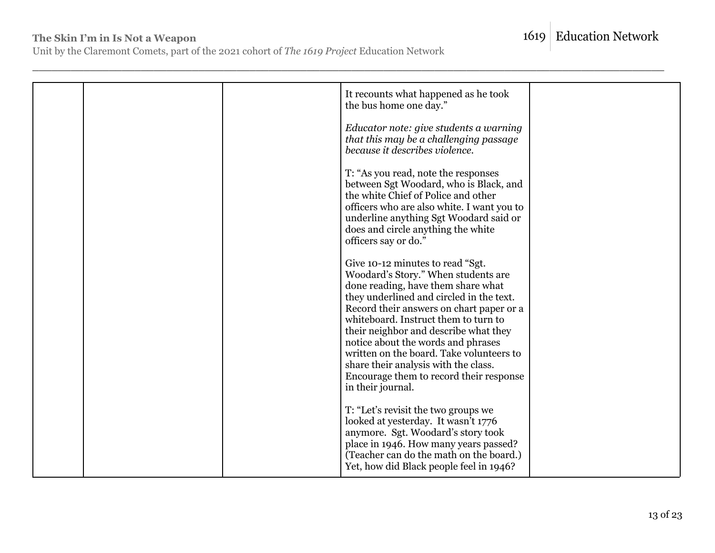Unit by the Claremont Comets, part of the 2021 cohort of *The 1619 Project* Education Network

|  | It recounts what happened as he took<br>the bus home one day."                                                                                                                                                                                                                                                                                                                                                                                                                   |  |
|--|----------------------------------------------------------------------------------------------------------------------------------------------------------------------------------------------------------------------------------------------------------------------------------------------------------------------------------------------------------------------------------------------------------------------------------------------------------------------------------|--|
|  | Educator note: give students a warning<br>that this may be a challenging passage<br>because it describes violence.                                                                                                                                                                                                                                                                                                                                                               |  |
|  | T: "As you read, note the responses<br>between Sgt Woodard, who is Black, and<br>the white Chief of Police and other<br>officers who are also white. I want you to<br>underline anything Sgt Woodard said or<br>does and circle anything the white<br>officers say or do."                                                                                                                                                                                                       |  |
|  | Give 10-12 minutes to read "Sgt.<br>Woodard's Story." When students are<br>done reading, have them share what<br>they underlined and circled in the text.<br>Record their answers on chart paper or a<br>whiteboard. Instruct them to turn to<br>their neighbor and describe what they<br>notice about the words and phrases<br>written on the board. Take volunteers to<br>share their analysis with the class.<br>Encourage them to record their response<br>in their journal. |  |
|  | T: "Let's revisit the two groups we<br>looked at yesterday. It wasn't 1776<br>anymore. Sgt. Woodard's story took<br>place in 1946. How many years passed?<br>(Teacher can do the math on the board.)<br>Yet, how did Black people feel in 1946?                                                                                                                                                                                                                                  |  |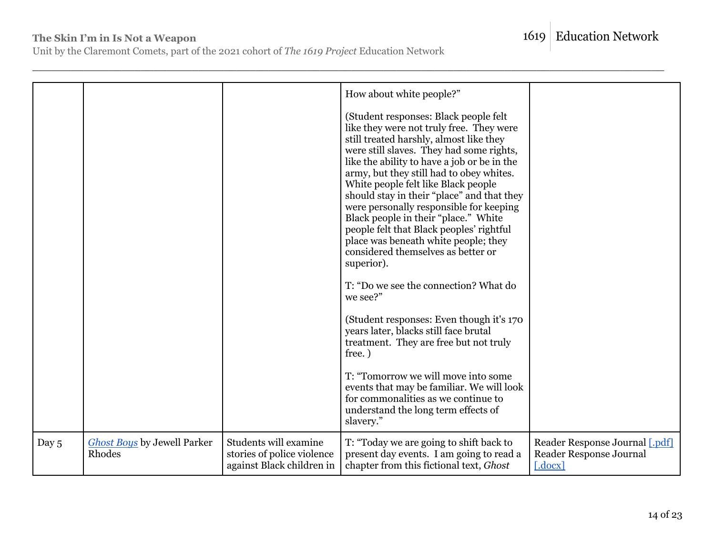Unit by the Claremont Comets, part of the 2021 cohort of *The 1619 Project* Education Network

|       |                                              |                                                                                  | How about white people?"<br>(Student responses: Black people felt<br>like they were not truly free. They were<br>still treated harshly, almost like they<br>were still slaves. They had some rights,<br>like the ability to have a job or be in the<br>army, but they still had to obey whites.<br>White people felt like Black people<br>should stay in their "place" and that they |                                                                      |
|-------|----------------------------------------------|----------------------------------------------------------------------------------|--------------------------------------------------------------------------------------------------------------------------------------------------------------------------------------------------------------------------------------------------------------------------------------------------------------------------------------------------------------------------------------|----------------------------------------------------------------------|
|       |                                              |                                                                                  | were personally responsible for keeping<br>Black people in their "place." White<br>people felt that Black peoples' rightful<br>place was beneath white people; they<br>considered themselves as better or<br>superior).                                                                                                                                                              |                                                                      |
|       |                                              |                                                                                  | T: "Do we see the connection? What do<br>we see?"                                                                                                                                                                                                                                                                                                                                    |                                                                      |
|       |                                              |                                                                                  | (Student responses: Even though it's 170<br>years later, blacks still face brutal<br>treatment. They are free but not truly<br>free.)                                                                                                                                                                                                                                                |                                                                      |
|       |                                              |                                                                                  | T: "Tomorrow we will move into some<br>events that may be familiar. We will look<br>for commonalities as we continue to<br>understand the long term effects of<br>slavery."                                                                                                                                                                                                          |                                                                      |
| Day 5 | <b>Ghost Boys</b> by Jewell Parker<br>Rhodes | Students will examine<br>stories of police violence<br>against Black children in | T: "Today we are going to shift back to<br>present day events. I am going to read a<br>chapter from this fictional text, Ghost                                                                                                                                                                                                                                                       | Reader Response Journal [.pdf]<br>Reader Response Journal<br>[.docx] |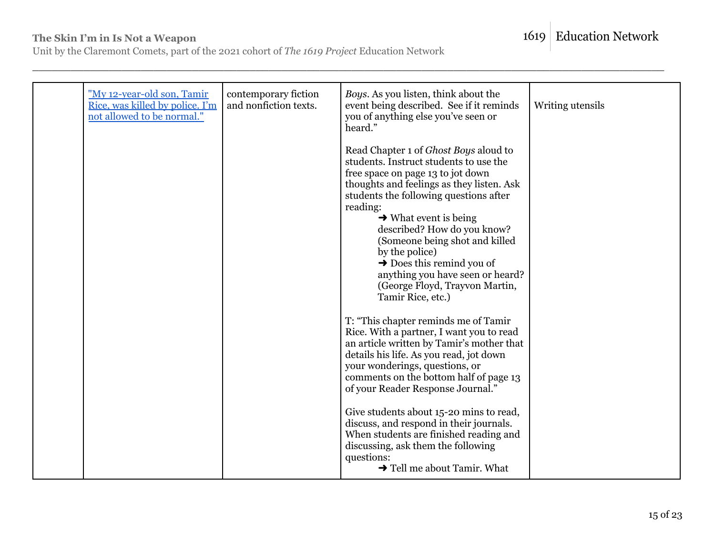1619 Education Network

Unit by the Claremont Comets, part of the 2021 cohort of *The 1619 Project* Education Network

| "My 12-year-old son, Tamir<br>Rice, was killed by police. I'm<br>not allowed to be normal." | contemporary fiction<br>and nonfiction texts. | Boys. As you listen, think about the<br>event being described. See if it reminds<br>you of anything else you've seen or<br>heard."                                                                                                                                                                                                                                                                                                                                                  | Writing utensils |
|---------------------------------------------------------------------------------------------|-----------------------------------------------|-------------------------------------------------------------------------------------------------------------------------------------------------------------------------------------------------------------------------------------------------------------------------------------------------------------------------------------------------------------------------------------------------------------------------------------------------------------------------------------|------------------|
|                                                                                             |                                               | Read Chapter 1 of Ghost Boys aloud to<br>students. Instruct students to use the<br>free space on page 13 to jot down<br>thoughts and feelings as they listen. Ask<br>students the following questions after<br>reading:<br>$\rightarrow$ What event is being<br>described? How do you know?<br>(Someone being shot and killed<br>by the police)<br>$\rightarrow$ Does this remind you of<br>anything you have seen or heard?<br>(George Floyd, Trayvon Martin,<br>Tamir Rice, etc.) |                  |
|                                                                                             |                                               | T: "This chapter reminds me of Tamir<br>Rice. With a partner, I want you to read<br>an article written by Tamir's mother that<br>details his life. As you read, jot down<br>your wonderings, questions, or<br>comments on the bottom half of page 13<br>of your Reader Response Journal."                                                                                                                                                                                           |                  |
|                                                                                             |                                               | Give students about 15-20 mins to read,<br>discuss, and respond in their journals.<br>When students are finished reading and<br>discussing, ask them the following<br>questions:<br>$\rightarrow$ Tell me about Tamir. What                                                                                                                                                                                                                                                         |                  |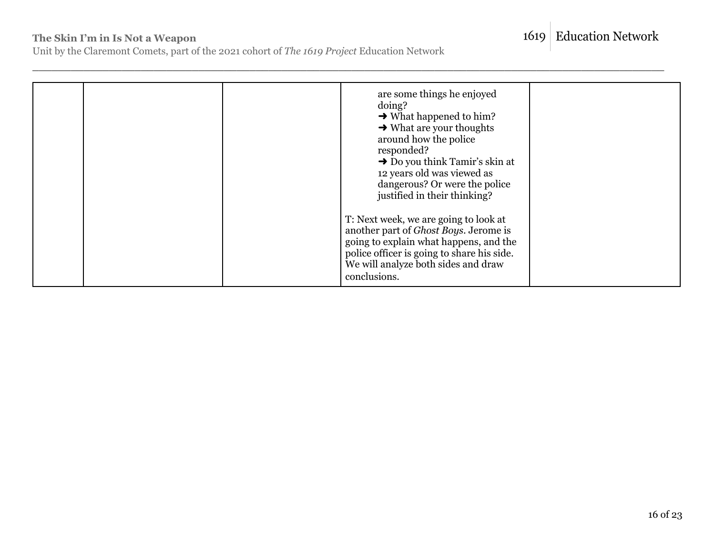Unit by the Claremont Comets, part of the 2021 cohort of *The 1619 Project* Education Network

|  | are some things he enjoyed<br>doing?<br>$\rightarrow$ What happened to him?<br>$\rightarrow$ What are your thoughts<br>around how the police<br>responded?<br>$\rightarrow$ Do you think Tamir's skin at<br>12 years old was viewed as<br>dangerous? Or were the police<br>justified in their thinking? |  |
|--|---------------------------------------------------------------------------------------------------------------------------------------------------------------------------------------------------------------------------------------------------------------------------------------------------------|--|
|  | T: Next week, we are going to look at<br>another part of Ghost Boys. Jerome is<br>going to explain what happens, and the<br>police officer is going to share his side.<br>We will analyze both sides and draw<br>conclusions.                                                                           |  |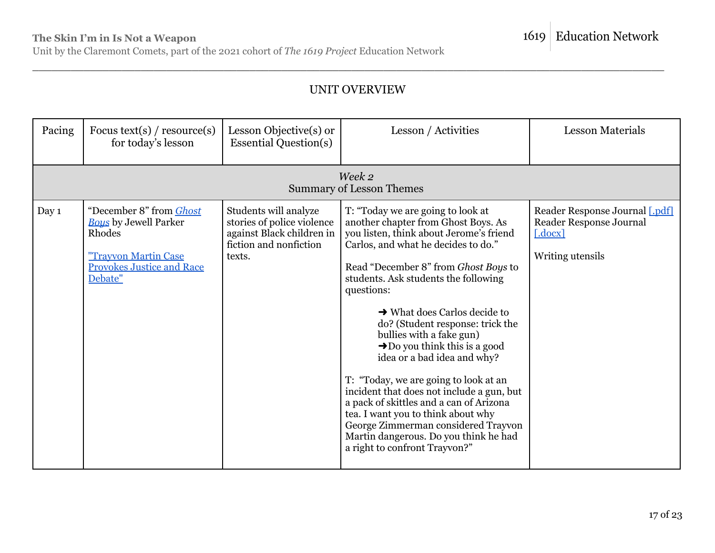Unit by the Claremont Comets, part of the 2021 cohort of *The 1619 Project* Education Network

# UNIT OVERVIEW

| Pacing | Focus text(s) / resource(s)<br>for today's lesson                                                                                               | Lesson Objective(s) or<br><b>Essential Question(s)</b>                                                               | Lesson / Activities                                                                                                                                                                                                                                                                                                                                                                                                                                                                                                                                                                                                                                                                                                                      | <b>Lesson Materials</b>                                                                                        |
|--------|-------------------------------------------------------------------------------------------------------------------------------------------------|----------------------------------------------------------------------------------------------------------------------|------------------------------------------------------------------------------------------------------------------------------------------------------------------------------------------------------------------------------------------------------------------------------------------------------------------------------------------------------------------------------------------------------------------------------------------------------------------------------------------------------------------------------------------------------------------------------------------------------------------------------------------------------------------------------------------------------------------------------------------|----------------------------------------------------------------------------------------------------------------|
|        |                                                                                                                                                 |                                                                                                                      | Week 2<br><b>Summary of Lesson Themes</b>                                                                                                                                                                                                                                                                                                                                                                                                                                                                                                                                                                                                                                                                                                |                                                                                                                |
| Day 1  | "December 8" from Ghost<br><b>Boys</b> by Jewell Parker<br>Rhodes<br><u>"Trayvon Martin Case</u><br><b>Provokes Justice and Race</b><br>Debate" | Students will analyze<br>stories of police violence<br>against Black children in<br>fiction and nonfiction<br>texts. | T: "Today we are going to look at<br>another chapter from Ghost Boys. As<br>you listen, think about Jerome's friend<br>Carlos, and what he decides to do."<br>Read "December 8" from Ghost Boys to<br>students. Ask students the following<br>questions:<br>$\rightarrow$ What does Carlos decide to<br>do? (Student response: trick the<br>bullies with a fake gun)<br>$\rightarrow$ Do you think this is a good<br>idea or a bad idea and why?<br>T: "Today, we are going to look at an<br>incident that does not include a gun, but<br>a pack of skittles and a can of Arizona<br>tea. I want you to think about why<br>George Zimmerman considered Trayvon<br>Martin dangerous. Do you think he had<br>a right to confront Trayvon?" | Reader Response Journal [.pdf]<br>Reader Response Journal<br>$\lceil . \text{docx} \rceil$<br>Writing utensils |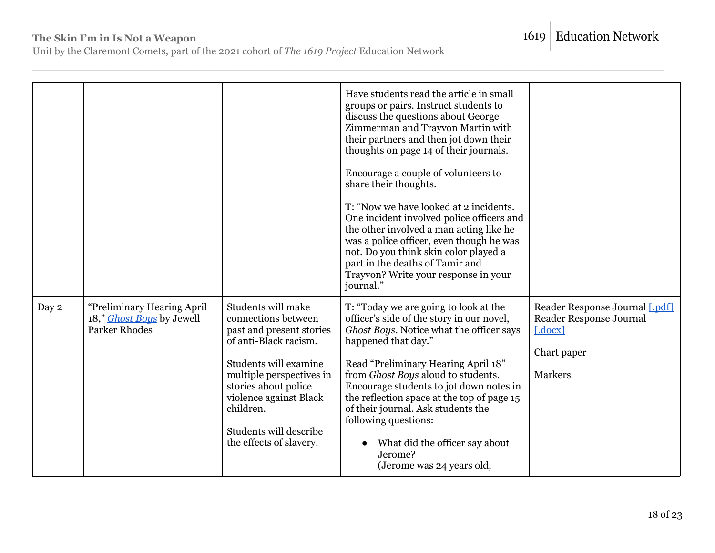Unit by the Claremont Comets, part of the 2021 cohort of *The 1619 Project* Education Network

|       |                                                                                 |                                                                                                                                                                                                                                                                         | Have students read the article in small<br>groups or pairs. Instruct students to<br>discuss the questions about George<br>Zimmerman and Trayvon Martin with<br>their partners and then jot down their<br>thoughts on page 14 of their journals.<br>Encourage a couple of volunteers to<br>share their thoughts.<br>T: "Now we have looked at 2 incidents.<br>One incident involved police officers and<br>the other involved a man acting like he<br>was a police officer, even though he was<br>not. Do you think skin color played a<br>part in the deaths of Tamir and<br>Trayvon? Write your response in your<br>journal." |                                                                                                                  |
|-------|---------------------------------------------------------------------------------|-------------------------------------------------------------------------------------------------------------------------------------------------------------------------------------------------------------------------------------------------------------------------|--------------------------------------------------------------------------------------------------------------------------------------------------------------------------------------------------------------------------------------------------------------------------------------------------------------------------------------------------------------------------------------------------------------------------------------------------------------------------------------------------------------------------------------------------------------------------------------------------------------------------------|------------------------------------------------------------------------------------------------------------------|
| Day 2 | "Preliminary Hearing April<br>18," Ghost Boys by Jewell<br><b>Parker Rhodes</b> | Students will make<br>connections between<br>past and present stories<br>of anti-Black racism.<br>Students will examine<br>multiple perspectives in<br>stories about police<br>violence against Black<br>children.<br>Students will describe<br>the effects of slavery. | T: "Today we are going to look at the<br>officer's side of the story in our novel,<br>Ghost Boys. Notice what the officer says<br>happened that day."<br>Read "Preliminary Hearing April 18"<br>from Ghost Boys aloud to students.<br>Encourage students to jot down notes in<br>the reflection space at the top of page 15<br>of their journal. Ask students the<br>following questions:<br>What did the officer say about<br>Jerome?<br>(Jerome was 24 years old,                                                                                                                                                            | Reader Response Journal [.pdf]<br>Reader Response Journal<br>$[.\mathrm{docx}]$<br>Chart paper<br><b>Markers</b> |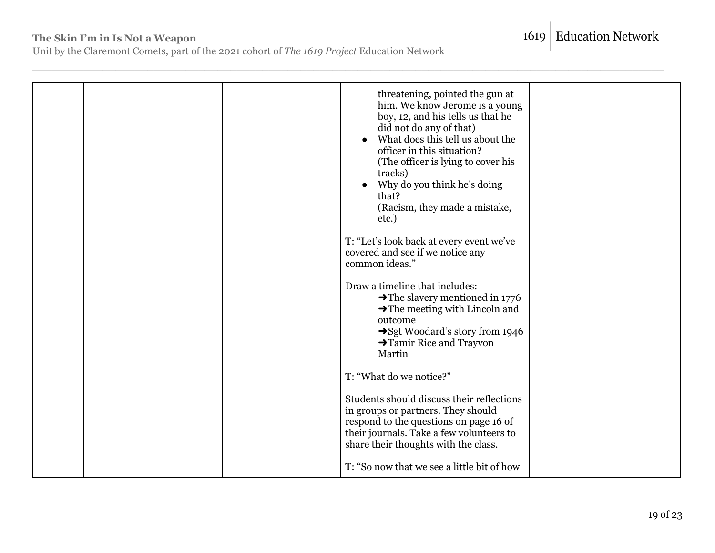Unit by the Claremont Comets, part of the 2021 cohort of *The 1619 Project* Education Network

|  | threatening, pointed the gun at<br>him. We know Jerome is a young<br>boy, 12, and his tells us that he<br>did not do any of that)<br>What does this tell us about the<br>officer in this situation?<br>(The officer is lying to cover his<br>tracks)<br>Why do you think he's doing<br>that?<br>(Racism, they made a mistake,<br>etc.) |  |
|--|----------------------------------------------------------------------------------------------------------------------------------------------------------------------------------------------------------------------------------------------------------------------------------------------------------------------------------------|--|
|  | T: "Let's look back at every event we've<br>covered and see if we notice any<br>common ideas."                                                                                                                                                                                                                                         |  |
|  | Draw a timeline that includes:<br>$\rightarrow$ The slavery mentioned in 1776<br>$\rightarrow$ The meeting with Lincoln and<br>outcome<br>→ Sgt Woodard's story from 1946<br>$\rightarrow$ Tamir Rice and Trayvon<br>Martin                                                                                                            |  |
|  | T: "What do we notice?"                                                                                                                                                                                                                                                                                                                |  |
|  | Students should discuss their reflections<br>in groups or partners. They should<br>respond to the questions on page 16 of<br>their journals. Take a few volunteers to<br>share their thoughts with the class.                                                                                                                          |  |
|  | T: "So now that we see a little bit of how                                                                                                                                                                                                                                                                                             |  |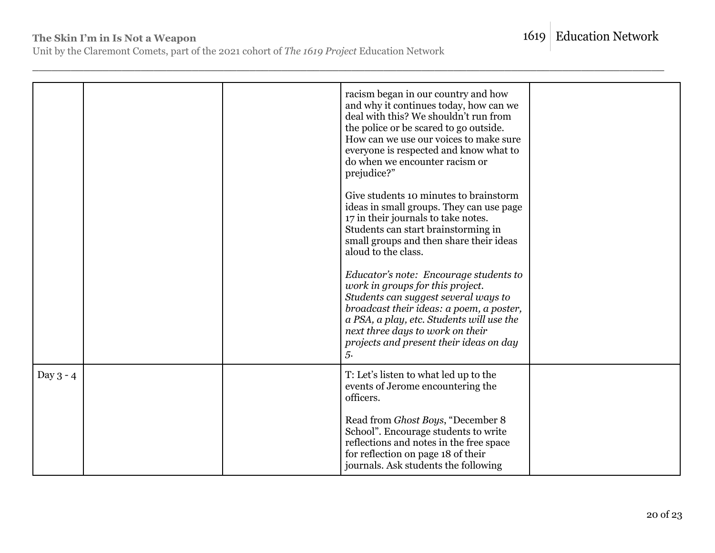Unit by the Claremont Comets, part of the 2021 cohort of *The 1619 Project* Education Network

|             |  | racism began in our country and how<br>and why it continues today, how can we<br>deal with this? We shouldn't run from<br>the police or be scared to go outside.<br>How can we use our voices to make sure<br>everyone is respected and know what to<br>do when we encounter racism or<br>prejudice?" |  |
|-------------|--|-------------------------------------------------------------------------------------------------------------------------------------------------------------------------------------------------------------------------------------------------------------------------------------------------------|--|
|             |  | Give students 10 minutes to brainstorm<br>ideas in small groups. They can use page<br>17 in their journals to take notes.<br>Students can start brainstorming in<br>small groups and then share their ideas<br>aloud to the class.                                                                    |  |
|             |  | Educator's note: Encourage students to<br>work in groups for this project.<br>Students can suggest several ways to<br>broadcast their ideas: a poem, a poster,<br>a PSA, a play, etc. Students will use the<br>next three days to work on their<br>projects and present their ideas on day<br>5.      |  |
| Day $3 - 4$ |  | T: Let's listen to what led up to the<br>events of Jerome encountering the<br>officers.                                                                                                                                                                                                               |  |
|             |  | Read from Ghost Boys, "December 8<br>School". Encourage students to write<br>reflections and notes in the free space<br>for reflection on page 18 of their<br>journals. Ask students the following                                                                                                    |  |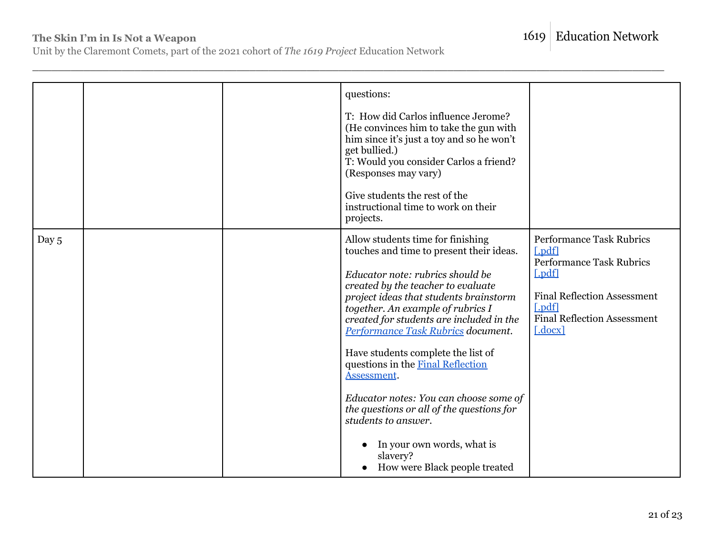Unit by the Claremont Comets, part of the 2021 cohort of *The 1619 Project* Education Network

|       | questions:                                                                                                                                                                                                                                                                                                                                                                                                                                                                                                                                                                                                        |                                                                                                                                                                                              |
|-------|-------------------------------------------------------------------------------------------------------------------------------------------------------------------------------------------------------------------------------------------------------------------------------------------------------------------------------------------------------------------------------------------------------------------------------------------------------------------------------------------------------------------------------------------------------------------------------------------------------------------|----------------------------------------------------------------------------------------------------------------------------------------------------------------------------------------------|
|       | T: How did Carlos influence Jerome?<br>(He convinces him to take the gun with)<br>him since it's just a toy and so he won't<br>get bullied.)<br>T: Would you consider Carlos a friend?<br>(Responses may vary)<br>Give students the rest of the<br>instructional time to work on their<br>projects.                                                                                                                                                                                                                                                                                                               |                                                                                                                                                                                              |
| Day 5 | Allow students time for finishing<br>touches and time to present their ideas.<br>Educator note: rubrics should be<br>created by the teacher to evaluate<br>project ideas that students brainstorm<br>together. An example of rubrics I<br>created for students are included in the<br>Performance Task Rubrics document.<br>Have students complete the list of<br>questions in the Final Reflection<br><b>Assessment</b><br>Educator notes: You can choose some of<br>the questions or all of the questions for<br>students to answer.<br>In your own words, what is<br>slavery?<br>How were Black people treated | <b>Performance Task Rubrics</b><br>$[}.pdf]$<br>Performance Task Rubrics<br>[.pdf]<br><b>Final Reflection Assessment</b><br>[.pdf]<br><b>Final Reflection Assessment</b><br>$[.\text{docx}]$ |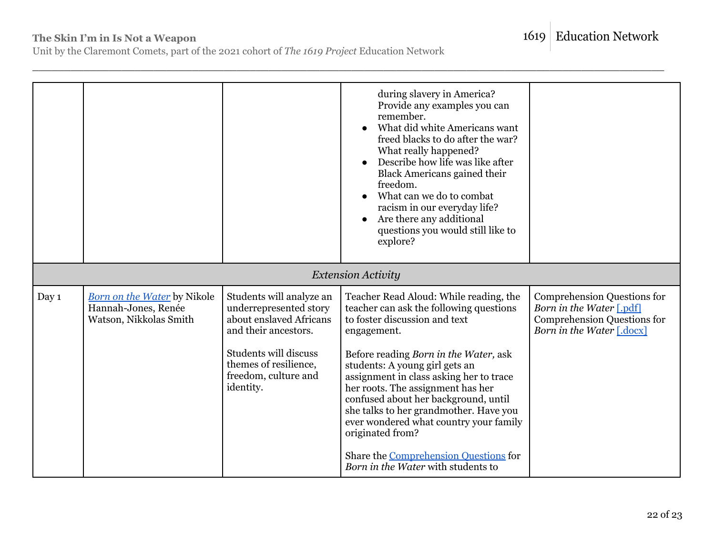Unit by the Claremont Comets, part of the 2021 cohort of *The 1619 Project* Education Network

|                           |                                                                                     |                                                                                                                                                                                              | during slavery in America?<br>Provide any examples you can<br>remember.<br>What did white Americans want<br>freed blacks to do after the war?<br>What really happened?<br>Describe how life was like after<br><b>Black Americans gained their</b><br>freedom.<br>What can we do to combat<br>racism in our everyday life?<br>Are there any additional<br>questions you would still like to<br>explore?                                                                                                                      |                                                                                                                     |
|---------------------------|-------------------------------------------------------------------------------------|----------------------------------------------------------------------------------------------------------------------------------------------------------------------------------------------|-----------------------------------------------------------------------------------------------------------------------------------------------------------------------------------------------------------------------------------------------------------------------------------------------------------------------------------------------------------------------------------------------------------------------------------------------------------------------------------------------------------------------------|---------------------------------------------------------------------------------------------------------------------|
| <b>Extension Activity</b> |                                                                                     |                                                                                                                                                                                              |                                                                                                                                                                                                                                                                                                                                                                                                                                                                                                                             |                                                                                                                     |
| Day 1                     | <b>Born on the Water by Nikole</b><br>Hannah-Jones, Renée<br>Watson, Nikkolas Smith | Students will analyze an<br>underrepresented story<br>about enslaved Africans<br>and their ancestors.<br>Students will discuss<br>themes of resilience,<br>freedom, culture and<br>identity. | Teacher Read Aloud: While reading, the<br>teacher can ask the following questions<br>to foster discussion and text<br>engagement.<br>Before reading Born in the Water, ask<br>students: A young girl gets an<br>assignment in class asking her to trace<br>her roots. The assignment has her<br>confused about her background, until<br>she talks to her grandmother. Have you<br>ever wondered what country your family<br>originated from?<br>Share the Comprehension Questions for<br>Born in the Water with students to | Comprehension Questions for<br>Born in the Water [.pdf]<br>Comprehension Questions for<br>Born in the Water [.docx] |